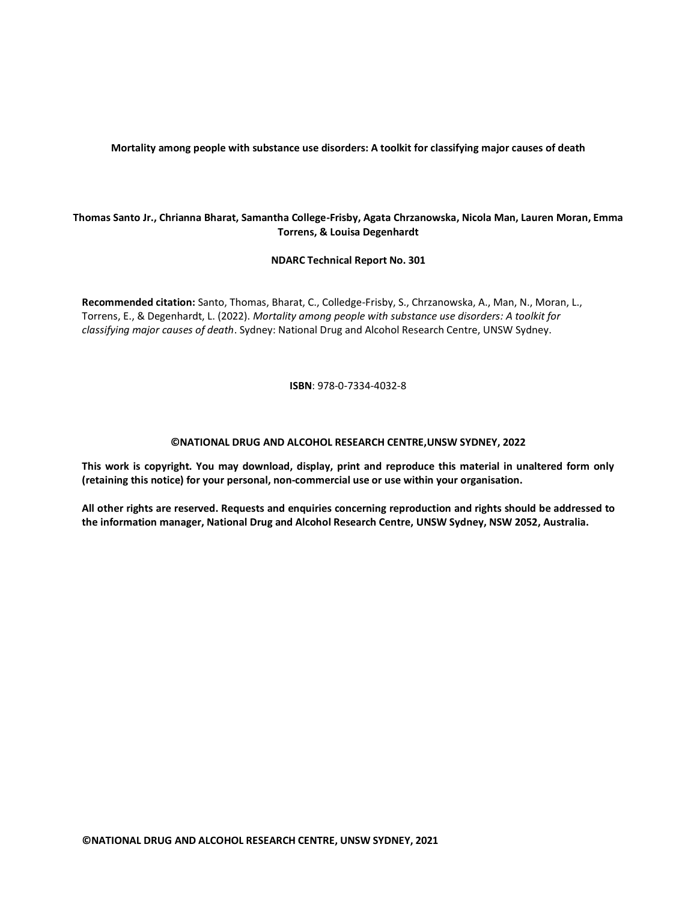**Mortality among people with substance use disorders: A toolkit for classifying major causes of death**

### **Thomas Santo Jr., Chrianna Bharat, Samantha College-Frisby, Agata Chrzanowska, Nicola Man, Lauren Moran, Emma Torrens, & Louisa Degenhardt**

**NDARC Technical Report No. 301**

**Recommended citation:** Santo, Thomas, Bharat, C., Colledge-Frisby, S., Chrzanowska, A., Man, N., Moran, L., Torrens, E., & Degenhardt, L. (2022). *Mortality among people with substance use disorders: A toolkit for classifying major causes of death*. Sydney: National Drug and Alcohol Research Centre, UNSW Sydney.

**ISBN**: 978-0-7334-4032-8

#### **©NATIONAL DRUG AND ALCOHOL RESEARCH CENTRE,UNSW SYDNEY, 2022**

**This work is copyright. You may download, display, print and reproduce this material in unaltered form only (retaining this notice) for your personal, non-commercial use or use within your organisation.**

**All other rights are reserved. Requests and enquiries concerning reproduction and rights should be addressed to the information manager, National Drug and Alcohol Research Centre, UNSW Sydney, NSW 2052, Australia.**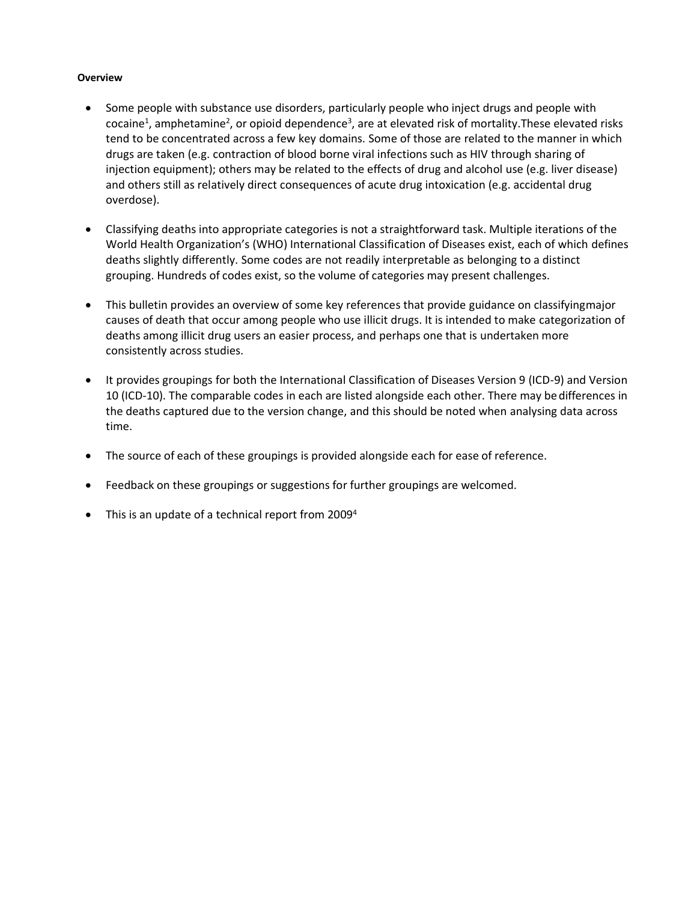### **Overview**

- Some people with substance use disorders, particularly people who inject drugs and people with cocaine<sup>1</sup>, amphetamine<sup>2</sup>, or opioid dependence<sup>3</sup>, are at elevated risk of mortality. These elevated risks tend to be concentrated across a few key domains. Some of those are related to the manner in which drugs are taken (e.g. contraction of blood borne viral infections such as HIV through sharing of injection equipment); others may be related to the effects of drug and alcohol use (e.g. liver disease) and others still as relatively direct consequences of acute drug intoxication (e.g. accidental drug overdose).
- Classifying deaths into appropriate categories is not a straightforward task. Multiple iterations of the World Health Organization's (WHO) International Classification of Diseases exist, each of which defines deaths slightly differently. Some codes are not readily interpretable as belonging to a distinct grouping. Hundreds of codes exist, so the volume of categories may present challenges.
- This bulletin provides an overview of some key references that provide guidance on classifyingmajor causes of death that occur among people who use illicit drugs. It is intended to make categorization of deaths among illicit drug users an easier process, and perhaps one that is undertaken more consistently across studies.
- It provides groupings for both the International Classification of Diseases Version 9 (ICD-9) and Version 10 (ICD-10). The comparable codes in each are listed alongside each other. There may be differences in the deaths captured due to the version change, and this should be noted when analysing data across time.
- The source of each of these groupings is provided alongside each for ease of reference.
- Feedback on these groupings or suggestions for further groupings are welcomed.
- This is an update of a technical report from 2009<sup>4</sup>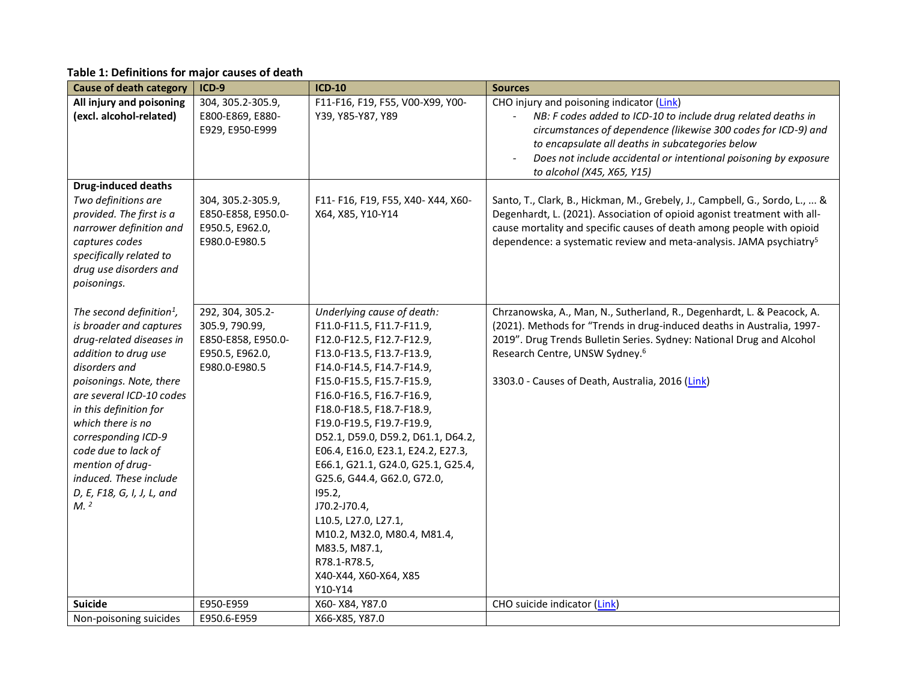# **Table 1: Definitions for major causes of death**

| <b>Cause of death category</b>                                                                                                                                                                                                                                                                                                                                                         | $ICD-9$                                                                                      | <b>ICD-10</b>                                                                                                                                                                                                                                                                                                                                                                                                                                                                                                                                                             | <b>Sources</b>                                                                                                                                                                                                                                                                                                                     |
|----------------------------------------------------------------------------------------------------------------------------------------------------------------------------------------------------------------------------------------------------------------------------------------------------------------------------------------------------------------------------------------|----------------------------------------------------------------------------------------------|---------------------------------------------------------------------------------------------------------------------------------------------------------------------------------------------------------------------------------------------------------------------------------------------------------------------------------------------------------------------------------------------------------------------------------------------------------------------------------------------------------------------------------------------------------------------------|------------------------------------------------------------------------------------------------------------------------------------------------------------------------------------------------------------------------------------------------------------------------------------------------------------------------------------|
| All injury and poisoning<br>(excl. alcohol-related)                                                                                                                                                                                                                                                                                                                                    | 304, 305.2-305.9,<br>E800-E869, E880-<br>E929, E950-E999                                     | F11-F16, F19, F55, V00-X99, Y00-<br>Y39, Y85-Y87, Y89                                                                                                                                                                                                                                                                                                                                                                                                                                                                                                                     | CHO injury and poisoning indicator (Link)<br>NB: F codes added to ICD-10 to include drug related deaths in<br>circumstances of dependence (likewise 300 codes for ICD-9) and<br>to encapsulate all deaths in subcategories below<br>Does not include accidental or intentional poisoning by exposure<br>to alcohol (X45, X65, Y15) |
| <b>Drug-induced deaths</b><br>Two definitions are<br>provided. The first is a<br>narrower definition and<br>captures codes<br>specifically related to<br>drug use disorders and<br>poisonings.                                                                                                                                                                                         | 304, 305.2-305.9,<br>E850-E858, E950.0-<br>E950.5, E962.0,<br>E980.0-E980.5                  | F11- F16, F19, F55, X40- X44, X60-<br>X64, X85, Y10-Y14                                                                                                                                                                                                                                                                                                                                                                                                                                                                                                                   | Santo, T., Clark, B., Hickman, M., Grebely, J., Campbell, G., Sordo, L.,  &<br>Degenhardt, L. (2021). Association of opioid agonist treatment with all-<br>cause mortality and specific causes of death among people with opioid<br>dependence: a systematic review and meta-analysis. JAMA psychiatry <sup>5</sup>                |
| The second definition <sup>1</sup> ,<br>is broader and captures<br>drug-related diseases in<br>addition to drug use<br>disorders and<br>poisonings. Note, there<br>are several ICD-10 codes<br>in this definition for<br>which there is no<br>corresponding ICD-9<br>code due to lack of<br>mention of drug-<br>induced. These include<br>D, E, F18, G, I, J, L, and<br>M <sup>2</sup> | 292, 304, 305.2-<br>305.9, 790.99,<br>E850-E858, E950.0-<br>E950.5, E962.0,<br>E980.0-E980.5 | Underlying cause of death:<br>F11.0-F11.5, F11.7-F11.9,<br>F12.0-F12.5, F12.7-F12.9,<br>F13.0-F13.5, F13.7-F13.9,<br>F14.0-F14.5, F14.7-F14.9,<br>F15.0-F15.5, F15.7-F15.9,<br>F16.0-F16.5, F16.7-F16.9,<br>F18.0-F18.5, F18.7-F18.9,<br>F19.0-F19.5, F19.7-F19.9,<br>D52.1, D59.0, D59.2, D61.1, D64.2,<br>E06.4, E16.0, E23.1, E24.2, E27.3,<br>E66.1, G21.1, G24.0, G25.1, G25.4,<br>G25.6, G44.4, G62.0, G72.0,<br>195.2,<br>J70.2-J70.4,<br>L10.5, L27.0, L27.1,<br>M10.2, M32.0, M80.4, M81.4,<br>M83.5, M87.1,<br>R78.1-R78.5,<br>X40-X44, X60-X64, X85<br>Y10-Y14 | Chrzanowska, A., Man, N., Sutherland, R., Degenhardt, L. & Peacock, A.<br>(2021). Methods for "Trends in drug-induced deaths in Australia, 1997-<br>2019". Drug Trends Bulletin Series. Sydney: National Drug and Alcohol<br>Research Centre, UNSW Sydney. <sup>6</sup><br>3303.0 - Causes of Death, Australia, 2016 (Link)        |
| <b>Suicide</b>                                                                                                                                                                                                                                                                                                                                                                         | E950-E959                                                                                    | X60-X84, Y87.0                                                                                                                                                                                                                                                                                                                                                                                                                                                                                                                                                            | CHO suicide indicator (Link)                                                                                                                                                                                                                                                                                                       |
| Non-poisoning suicides                                                                                                                                                                                                                                                                                                                                                                 | E950.6-E959                                                                                  | X66-X85, Y87.0                                                                                                                                                                                                                                                                                                                                                                                                                                                                                                                                                            |                                                                                                                                                                                                                                                                                                                                    |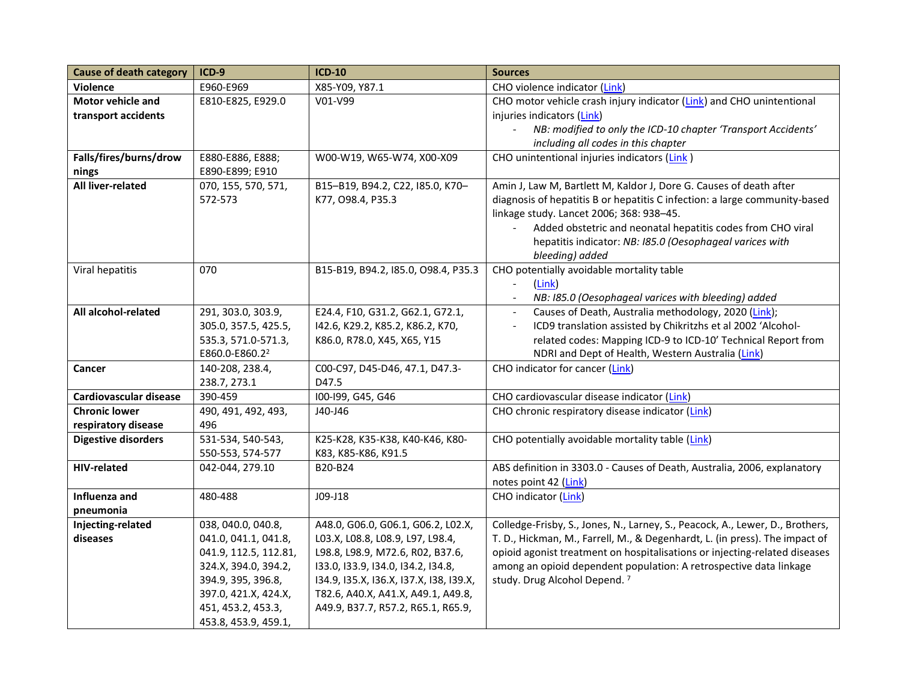| <b>Cause of death category</b> | $ICD-9$                    | $ICD-10$                                | <b>Sources</b>                                                                |
|--------------------------------|----------------------------|-----------------------------------------|-------------------------------------------------------------------------------|
| Violence                       | E960-E969                  | X85-Y09, Y87.1                          | CHO violence indicator (Link)                                                 |
| Motor vehicle and              | E810-E825, E929.0          | V01-V99                                 | CHO motor vehicle crash injury indicator (Link) and CHO unintentional         |
| transport accidents            |                            |                                         | injuries indicators (Link)                                                    |
|                                |                            |                                         | NB: modified to only the ICD-10 chapter 'Transport Accidents'                 |
|                                |                            |                                         | including all codes in this chapter                                           |
| Falls/fires/burns/drow         | E880-E886, E888;           | W00-W19, W65-W74, X00-X09               | CHO unintentional injuries indicators (Link)                                  |
| nings                          | E890-E899; E910            |                                         |                                                                               |
| All liver-related              | 070, 155, 570, 571,        | B15-B19, B94.2, C22, I85.0, K70-        | Amin J, Law M, Bartlett M, Kaldor J, Dore G. Causes of death after            |
|                                | 572-573                    | K77, O98.4, P35.3                       | diagnosis of hepatitis B or hepatitis C infection: a large community-based    |
|                                |                            |                                         | linkage study. Lancet 2006; 368: 938-45.                                      |
|                                |                            |                                         | Added obstetric and neonatal hepatitis codes from CHO viral<br>$\blacksquare$ |
|                                |                            |                                         | hepatitis indicator: NB: I85.0 (Oesophageal varices with                      |
|                                |                            |                                         | bleeding) added                                                               |
| Viral hepatitis                | 070                        | B15-B19, B94.2, I85.0, O98.4, P35.3     | CHO potentially avoidable mortality table                                     |
|                                |                            |                                         | (Link)                                                                        |
|                                |                            |                                         | NB: I85.0 (Oesophageal varices with bleeding) added                           |
| All alcohol-related            | 291, 303.0, 303.9,         | E24.4, F10, G31.2, G62.1, G72.1,        | Causes of Death, Australia methodology, 2020 (Link);                          |
|                                | 305.0, 357.5, 425.5,       | 142.6, K29.2, K85.2, K86.2, K70,        | ICD9 translation assisted by Chikritzhs et al 2002 'Alcohol-                  |
|                                | 535.3, 571.0-571.3,        | K86.0, R78.0, X45, X65, Y15             | related codes: Mapping ICD-9 to ICD-10' Technical Report from                 |
|                                | E860.0-E860.2 <sup>2</sup> |                                         | NDRI and Dept of Health, Western Australia (Link)                             |
| <b>Cancer</b>                  | 140-208, 238.4,            | C00-C97, D45-D46, 47.1, D47.3-          | CHO indicator for cancer (Link)                                               |
|                                | 238.7, 273.1               | D47.5                                   |                                                                               |
| Cardiovascular disease         | 390-459                    | I00-I99, G45, G46                       | CHO cardiovascular disease indicator (Link)                                   |
| <b>Chronic lower</b>           | 490, 491, 492, 493,        | J40-J46                                 | CHO chronic respiratory disease indicator (Link)                              |
| respiratory disease            | 496                        |                                         |                                                                               |
| <b>Digestive disorders</b>     | 531-534, 540-543,          | K25-K28, K35-K38, K40-K46, K80-         | CHO potentially avoidable mortality table (Link)                              |
|                                | 550-553, 574-577           | K83, K85-K86, K91.5                     |                                                                               |
| <b>HIV-related</b>             | 042-044, 279.10            | B20-B24                                 | ABS definition in 3303.0 - Causes of Death, Australia, 2006, explanatory      |
|                                |                            |                                         | notes point 42 (Link)                                                         |
| Influenza and                  | 480-488                    | $JO9-J18$                               | CHO indicator (Link)                                                          |
| pneumonia                      |                            |                                         |                                                                               |
| Injecting-related              | 038, 040.0, 040.8,         | A48.0, G06.0, G06.1, G06.2, L02.X,      | Colledge-Frisby, S., Jones, N., Larney, S., Peacock, A., Lewer, D., Brothers, |
| diseases                       | 041.0, 041.1, 041.8,       | L03.X, L08.8, L08.9, L97, L98.4,        | T. D., Hickman, M., Farrell, M., & Degenhardt, L. (in press). The impact of   |
|                                | 041.9, 112.5, 112.81,      | L98.8, L98.9, M72.6, R02, B37.6,        | opioid agonist treatment on hospitalisations or injecting-related diseases    |
|                                | 324.X, 394.0, 394.2,       | 133.0, 133.9, 134.0, 134.2, 134.8,      | among an opioid dependent population: A retrospective data linkage            |
|                                | 394.9, 395, 396.8,         | 134.9, 135.X, 136.X, 137.X, 138, 139.X, | study. Drug Alcohol Depend. <sup>7</sup>                                      |
|                                | 397.0, 421.X, 424.X,       | T82.6, A40.X, A41.X, A49.1, A49.8,      |                                                                               |
|                                | 451, 453.2, 453.3,         | A49.9, B37.7, R57.2, R65.1, R65.9,      |                                                                               |
|                                | 453.8, 453.9, 459.1,       |                                         |                                                                               |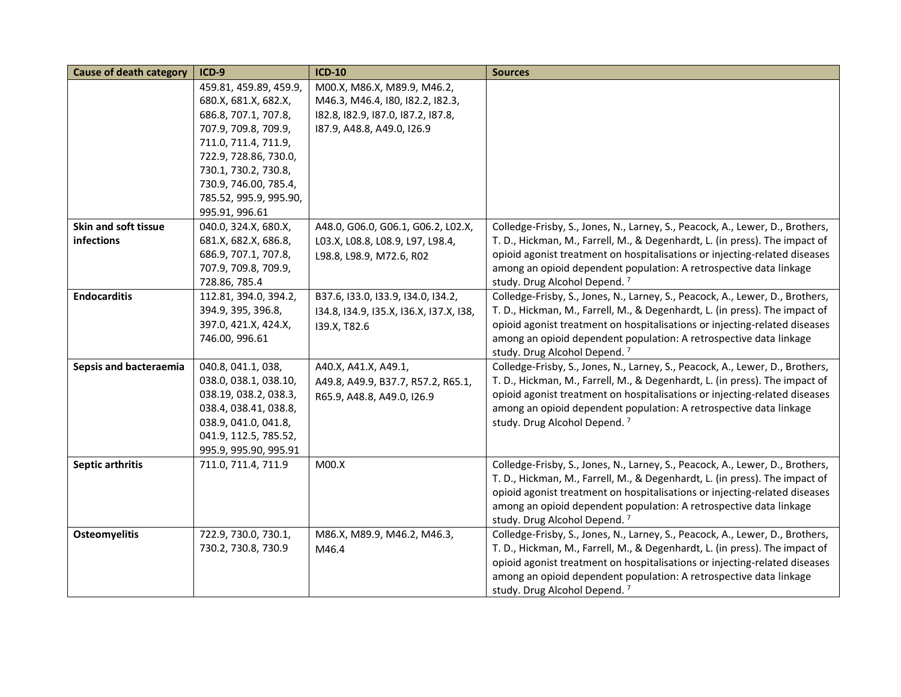| <b>Cause of death category</b> | $ICD-9$                | <b>ICD-10</b>                           | <b>Sources</b>                                                                |
|--------------------------------|------------------------|-----------------------------------------|-------------------------------------------------------------------------------|
|                                | 459.81, 459.89, 459.9, | M00.X, M86.X, M89.9, M46.2,             |                                                                               |
|                                | 680.X, 681.X, 682.X,   | M46.3, M46.4, I80, I82.2, I82.3,        |                                                                               |
|                                | 686.8, 707.1, 707.8,   | 182.8, 182.9, 187.0, 187.2, 187.8,      |                                                                               |
|                                | 707.9, 709.8, 709.9,   | 187.9, A48.8, A49.0, I26.9              |                                                                               |
|                                | 711.0, 711.4, 711.9,   |                                         |                                                                               |
|                                | 722.9, 728.86, 730.0,  |                                         |                                                                               |
|                                | 730.1, 730.2, 730.8,   |                                         |                                                                               |
|                                | 730.9, 746.00, 785.4,  |                                         |                                                                               |
|                                | 785.52, 995.9, 995.90, |                                         |                                                                               |
|                                | 995.91, 996.61         |                                         |                                                                               |
| Skin and soft tissue           | 040.0, 324.X, 680.X,   | A48.0, G06.0, G06.1, G06.2, L02.X,      | Colledge-Frisby, S., Jones, N., Larney, S., Peacock, A., Lewer, D., Brothers, |
| infections                     | 681.X, 682.X, 686.8,   | L03.X, L08.8, L08.9, L97, L98.4,        | T. D., Hickman, M., Farrell, M., & Degenhardt, L. (in press). The impact of   |
|                                | 686.9, 707.1, 707.8,   | L98.8, L98.9, M72.6, R02                | opioid agonist treatment on hospitalisations or injecting-related diseases    |
|                                | 707.9, 709.8, 709.9,   |                                         | among an opioid dependent population: A retrospective data linkage            |
|                                | 728.86, 785.4          |                                         | study. Drug Alcohol Depend. <sup>7</sup>                                      |
| <b>Endocarditis</b>            | 112.81, 394.0, 394.2,  | B37.6, I33.0, I33.9, I34.0, I34.2,      | Colledge-Frisby, S., Jones, N., Larney, S., Peacock, A., Lewer, D., Brothers, |
|                                | 394.9, 395, 396.8,     | 134.8, 134.9, 135.X, 136.X, 137.X, 138, | T. D., Hickman, M., Farrell, M., & Degenhardt, L. (in press). The impact of   |
|                                | 397.0, 421.X, 424.X,   | 139.X, T82.6                            | opioid agonist treatment on hospitalisations or injecting-related diseases    |
|                                | 746.00, 996.61         |                                         | among an opioid dependent population: A retrospective data linkage            |
|                                |                        |                                         | study. Drug Alcohol Depend. <sup>7</sup>                                      |
| Sepsis and bacteraemia         | 040.8, 041.1, 038,     | A40.X, A41.X, A49.1,                    | Colledge-Frisby, S., Jones, N., Larney, S., Peacock, A., Lewer, D., Brothers, |
|                                | 038.0, 038.1, 038.10,  | A49.8, A49.9, B37.7, R57.2, R65.1,      | T. D., Hickman, M., Farrell, M., & Degenhardt, L. (in press). The impact of   |
|                                | 038.19, 038.2, 038.3,  | R65.9, A48.8, A49.0, I26.9              | opioid agonist treatment on hospitalisations or injecting-related diseases    |
|                                | 038.4, 038.41, 038.8,  |                                         | among an opioid dependent population: A retrospective data linkage            |
|                                | 038.9, 041.0, 041.8,   |                                         | study. Drug Alcohol Depend. <sup>7</sup>                                      |
|                                | 041.9, 112.5, 785.52,  |                                         |                                                                               |
|                                | 995.9, 995.90, 995.91  |                                         |                                                                               |
| Septic arthritis               | 711.0, 711.4, 711.9    | M00.X                                   | Colledge-Frisby, S., Jones, N., Larney, S., Peacock, A., Lewer, D., Brothers, |
|                                |                        |                                         | T. D., Hickman, M., Farrell, M., & Degenhardt, L. (in press). The impact of   |
|                                |                        |                                         | opioid agonist treatment on hospitalisations or injecting-related diseases    |
|                                |                        |                                         | among an opioid dependent population: A retrospective data linkage            |
|                                |                        |                                         | study. Drug Alcohol Depend. <sup>7</sup>                                      |
| <b>Osteomyelitis</b>           | 722.9, 730.0, 730.1,   | M86.X, M89.9, M46.2, M46.3,             | Colledge-Frisby, S., Jones, N., Larney, S., Peacock, A., Lewer, D., Brothers, |
|                                | 730.2, 730.8, 730.9    | M46.4                                   | T. D., Hickman, M., Farrell, M., & Degenhardt, L. (in press). The impact of   |
|                                |                        |                                         | opioid agonist treatment on hospitalisations or injecting-related diseases    |
|                                |                        |                                         | among an opioid dependent population: A retrospective data linkage            |
|                                |                        |                                         | study. Drug Alcohol Depend. <sup>7</sup>                                      |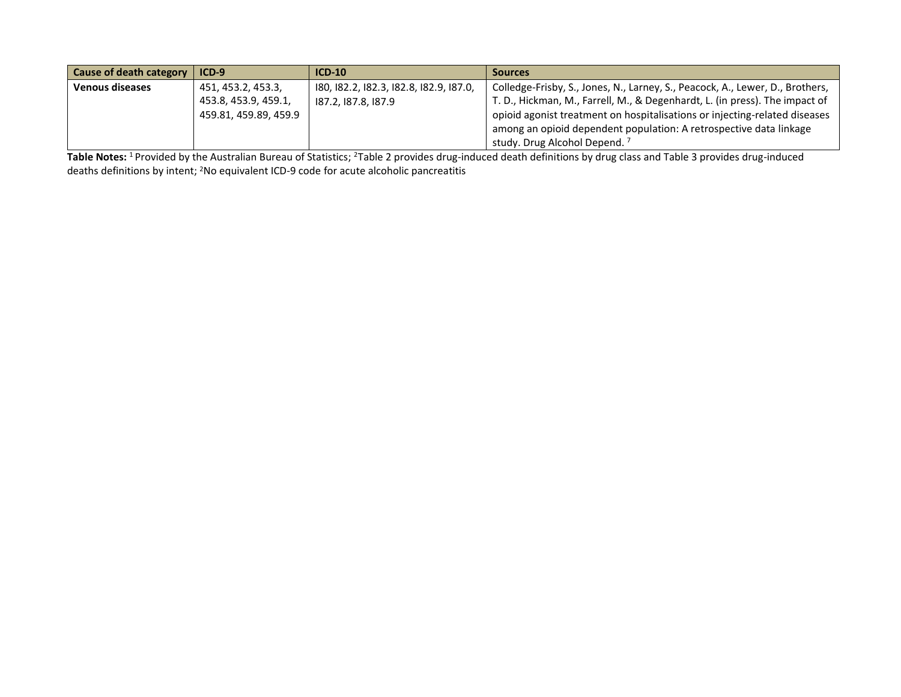| <b>Cause of death category</b> | $ICD-9$               | $ICD-10$                                | <b>Sources</b>                                                                |
|--------------------------------|-----------------------|-----------------------------------------|-------------------------------------------------------------------------------|
| <b>Venous diseases</b>         | 451, 453.2, 453.3,    | 180, 182.2, 182.3, 182.8, 182.9, 187.0, | Colledge-Frisby, S., Jones, N., Larney, S., Peacock, A., Lewer, D., Brothers, |
|                                | 453.8, 453.9, 459.1,  | 187.2.187.8.187.9                       | T. D., Hickman, M., Farrell, M., & Degenhardt, L. (in press). The impact of   |
|                                | 459.81, 459.89, 459.9 |                                         | opioid agonist treatment on hospitalisations or injecting-related diseases    |
|                                |                       |                                         | among an opioid dependent population: A retrospective data linkage            |
|                                |                       |                                         | study. Drug Alcohol Depend.                                                   |

Table Notes: <sup>1</sup> Provided by the Australian Bureau of Statistics; <sup>2</sup>Table 2 provides drug-induced death definitions by drug class and Table 3 provides drug-induced deaths definitions by intent; <sup>2</sup>No equivalent ICD-9 code for acute alcoholic pancreatitis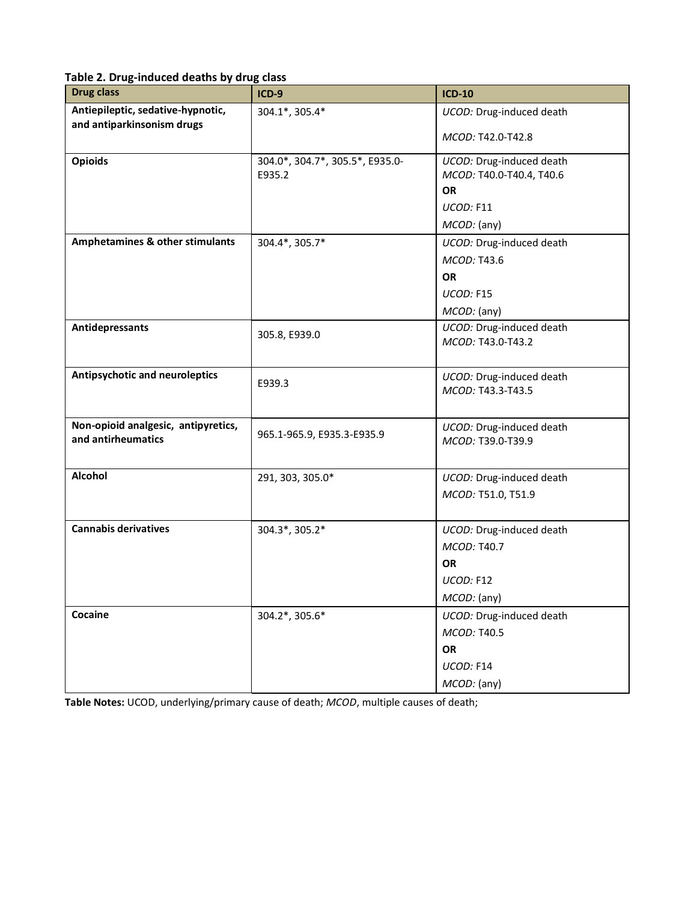| Table 2. Drug-induced deaths by drug class |  |  |
|--------------------------------------------|--|--|
|--------------------------------------------|--|--|

| <b>Drug class</b>                   | $ICD-9$                         | <b>ICD-10</b>                                 |
|-------------------------------------|---------------------------------|-----------------------------------------------|
| Antiepileptic, sedative-hypnotic,   | 304.1*, 305.4*                  | UCOD: Drug-induced death                      |
| and antiparkinsonism drugs          |                                 | MCOD: T42.0-T42.8                             |
| <b>Opioids</b>                      | 304.0*, 304.7*, 305.5*, E935.0- | UCOD: Drug-induced death                      |
|                                     | E935.2                          | MCOD: T40.0-T40.4, T40.6<br><b>OR</b>         |
|                                     |                                 | UCOD: F11                                     |
|                                     |                                 | MCOD: (any)                                   |
| Amphetamines & other stimulants     | 304.4*, 305.7*                  | UCOD: Drug-induced death                      |
|                                     |                                 | MCOD: T43.6                                   |
|                                     |                                 | <b>OR</b>                                     |
|                                     |                                 | UCOD: F15                                     |
|                                     |                                 | MCOD: (any)                                   |
| Antidepressants                     | 305.8, E939.0                   | UCOD: Drug-induced death                      |
|                                     |                                 | MCOD: T43.0-T43.2                             |
|                                     |                                 |                                               |
| Antipsychotic and neuroleptics      | E939.3                          | UCOD: Drug-induced death                      |
|                                     |                                 | MCOD: T43.3-T43.5                             |
| Non-opioid analgesic, antipyretics, |                                 |                                               |
| and antirheumatics                  | 965.1-965.9, E935.3-E935.9      | UCOD: Drug-induced death<br>MCOD: T39.0-T39.9 |
|                                     |                                 |                                               |
| Alcohol                             | 291, 303, 305.0*                | UCOD: Drug-induced death                      |
|                                     |                                 | MCOD: T51.0, T51.9                            |
|                                     |                                 |                                               |
| <b>Cannabis derivatives</b>         | 304.3*, 305.2*                  | UCOD: Drug-induced death                      |
|                                     |                                 | MCOD: T40.7                                   |
|                                     |                                 | <b>OR</b>                                     |
|                                     |                                 | UCOD: F12                                     |
|                                     |                                 | <i>MCOD:</i> (any)                            |
| Cocaine                             | 304.2*, 305.6*                  | UCOD: Drug-induced death                      |
|                                     |                                 | MCOD: T40.5                                   |
|                                     |                                 | OR                                            |
|                                     |                                 | UCOD: F14                                     |
|                                     |                                 | MCOD: (any)                                   |

**Table Notes:** UCOD, underlying/primary cause of death; *MCOD*, multiple causes of death;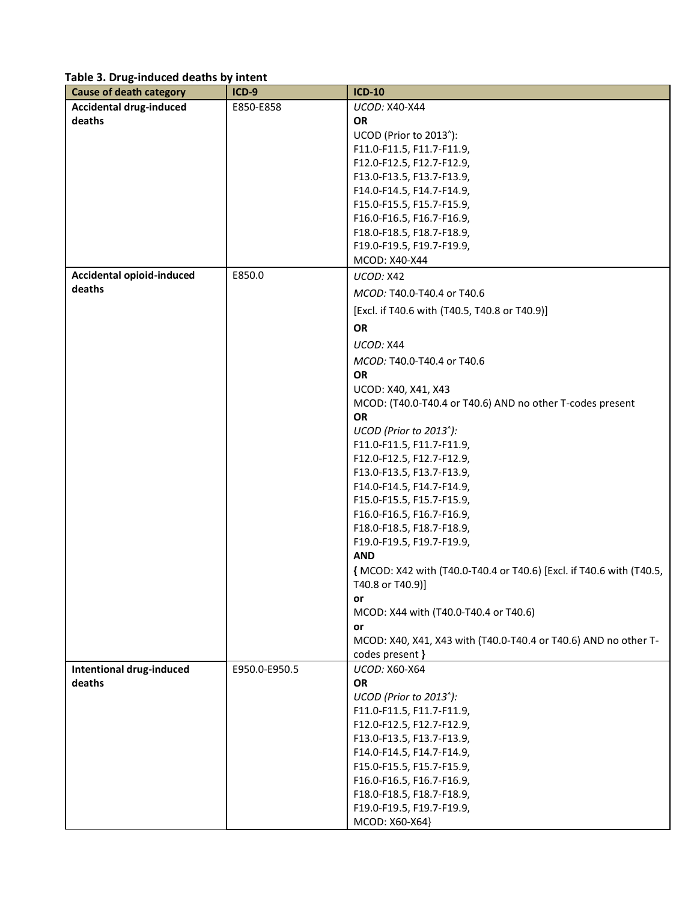## **Table 3. Drug-induced deaths by intent**

| <b>Cause of death category</b>   | $ICD-9$       | <b>ICD-10</b>                                                                            |
|----------------------------------|---------------|------------------------------------------------------------------------------------------|
| <b>Accidental drug-induced</b>   | E850-E858     | UCOD: X40-X44                                                                            |
| deaths                           |               | <b>OR</b>                                                                                |
|                                  |               | UCOD (Prior to 2013 <sup>^</sup> ):                                                      |
|                                  |               | F11.0-F11.5, F11.7-F11.9,                                                                |
|                                  |               | F12.0-F12.5, F12.7-F12.9,                                                                |
|                                  |               | F13.0-F13.5, F13.7-F13.9,                                                                |
|                                  |               | F14.0-F14.5, F14.7-F14.9,                                                                |
|                                  |               | F15.0-F15.5, F15.7-F15.9,                                                                |
|                                  |               | F16.0-F16.5, F16.7-F16.9,                                                                |
|                                  |               | F18.0-F18.5, F18.7-F18.9,                                                                |
|                                  |               | F19.0-F19.5, F19.7-F19.9,                                                                |
|                                  |               | MCOD: X40-X44                                                                            |
| <b>Accidental opioid-induced</b> | E850.0        | UCOD: X42                                                                                |
| deaths                           |               | MCOD: T40.0-T40.4 or T40.6                                                               |
|                                  |               | [Excl. if T40.6 with (T40.5, T40.8 or T40.9)]                                            |
|                                  |               | <b>OR</b>                                                                                |
|                                  |               | UCOD: X44                                                                                |
|                                  |               | MCOD: T40.0-T40.4 or T40.6                                                               |
|                                  |               | OR                                                                                       |
|                                  |               | UCOD: X40, X41, X43                                                                      |
|                                  |               | MCOD: (T40.0-T40.4 or T40.6) AND no other T-codes present                                |
|                                  |               | <b>OR</b>                                                                                |
|                                  |               | UCOD (Prior to 2013 <sup>^</sup> ):                                                      |
|                                  |               | F11.0-F11.5, F11.7-F11.9,                                                                |
|                                  |               | F12.0-F12.5, F12.7-F12.9,                                                                |
|                                  |               | F13.0-F13.5, F13.7-F13.9,                                                                |
|                                  |               | F14.0-F14.5, F14.7-F14.9,                                                                |
|                                  |               | F15.0-F15.5, F15.7-F15.9,                                                                |
|                                  |               | F16.0-F16.5, F16.7-F16.9,                                                                |
|                                  |               | F18.0-F18.5, F18.7-F18.9,                                                                |
|                                  |               | F19.0-F19.5, F19.7-F19.9,                                                                |
|                                  |               | <b>AND</b>                                                                               |
|                                  |               | { MCOD: X42 with (T40.0-T40.4 or T40.6) [Excl. if T40.6 with (T40.5,<br>T40.8 or T40.9)] |
|                                  |               | or                                                                                       |
|                                  |               | MCOD: X44 with (T40.0-T40.4 or T40.6)                                                    |
|                                  |               | or                                                                                       |
|                                  |               | MCOD: X40, X41, X43 with (T40.0-T40.4 or T40.6) AND no other T-<br>codes present }       |
| <b>Intentional drug-induced</b>  | E950.0-E950.5 | UCOD: X60-X64                                                                            |
| deaths                           |               | <b>OR</b>                                                                                |
|                                  |               | UCOD (Prior to 2013 <sup>^</sup> ):                                                      |
|                                  |               | F11.0-F11.5, F11.7-F11.9,                                                                |
|                                  |               | F12.0-F12.5, F12.7-F12.9,                                                                |
|                                  |               | F13.0-F13.5, F13.7-F13.9,                                                                |
|                                  |               | F14.0-F14.5, F14.7-F14.9,                                                                |
|                                  |               | F15.0-F15.5, F15.7-F15.9,                                                                |
|                                  |               | F16.0-F16.5, F16.7-F16.9,                                                                |
|                                  |               | F18.0-F18.5, F18.7-F18.9,                                                                |
|                                  |               | F19.0-F19.5, F19.7-F19.9,                                                                |
|                                  |               | MCOD: X60-X64}                                                                           |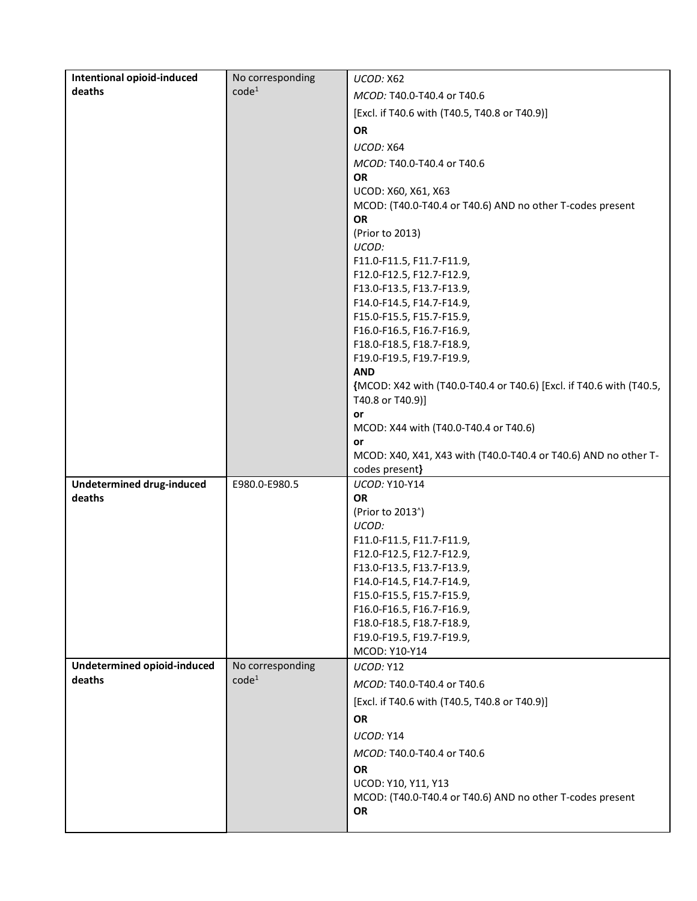| <b>Intentional opioid-induced</b>          | No corresponding  | UCOD: X62                                                                         |
|--------------------------------------------|-------------------|-----------------------------------------------------------------------------------|
| deaths                                     | code <sup>1</sup> | MCOD: T40.0-T40.4 or T40.6                                                        |
|                                            |                   | [Excl. if T40.6 with (T40.5, T40.8 or T40.9)]                                     |
|                                            |                   | <b>OR</b>                                                                         |
|                                            |                   | UCOD: X64                                                                         |
|                                            |                   | MCOD: T40.0-T40.4 or T40.6                                                        |
|                                            |                   | <b>OR</b>                                                                         |
|                                            |                   | UCOD: X60, X61, X63                                                               |
|                                            |                   | MCOD: (T40.0-T40.4 or T40.6) AND no other T-codes present                         |
|                                            |                   | <b>OR</b>                                                                         |
|                                            |                   | (Prior to 2013)                                                                   |
|                                            |                   | UCOD:                                                                             |
|                                            |                   | F11.0-F11.5, F11.7-F11.9,<br>F12.0-F12.5, F12.7-F12.9,                            |
|                                            |                   | F13.0-F13.5, F13.7-F13.9,                                                         |
|                                            |                   | F14.0-F14.5, F14.7-F14.9,                                                         |
|                                            |                   | F15.0-F15.5, F15.7-F15.9,                                                         |
|                                            |                   | F16.0-F16.5, F16.7-F16.9,                                                         |
|                                            |                   | F18.0-F18.5, F18.7-F18.9,                                                         |
|                                            |                   | F19.0-F19.5, F19.7-F19.9,                                                         |
|                                            |                   | <b>AND</b><br>{MCOD: X42 with (T40.0-T40.4 or T40.6) [Excl. if T40.6 with (T40.5, |
|                                            |                   | T40.8 or T40.9)]                                                                  |
|                                            |                   | or                                                                                |
|                                            |                   | MCOD: X44 with (T40.0-T40.4 or T40.6)                                             |
|                                            |                   | or                                                                                |
|                                            |                   | MCOD: X40, X41, X43 with (T40.0-T40.4 or T40.6) AND no other T-                   |
|                                            |                   | codes present}                                                                    |
| <b>Undetermined drug-induced</b><br>deaths | E980.0-E980.5     | UCOD: Y10-Y14<br><b>OR</b>                                                        |
|                                            |                   | (Prior to 2013 <sup>^</sup> )                                                     |
|                                            |                   | UCOD:                                                                             |
|                                            |                   | F11.0-F11.5, F11.7-F11.9,                                                         |
|                                            |                   | F12.0-F12.5, F12.7-F12.9,                                                         |
|                                            |                   | F13.0-F13.5, F13.7-F13.9,                                                         |
|                                            |                   | F14.0-F14.5, F14.7-F14.9,                                                         |
|                                            |                   | F15.0-F15.5, F15.7-F15.9,                                                         |
|                                            |                   | F16.0-F16.5, F16.7-F16.9,<br>F18.0-F18.5, F18.7-F18.9,                            |
|                                            |                   | F19.0-F19.5, F19.7-F19.9,                                                         |
|                                            |                   | MCOD: Y10-Y14                                                                     |
| Undetermined opioid-induced                | No corresponding  | UCOD: Y12                                                                         |
| deaths                                     | code <sup>1</sup> | MCOD: T40.0-T40.4 or T40.6                                                        |
|                                            |                   | [Excl. if T40.6 with (T40.5, T40.8 or T40.9)]                                     |
|                                            |                   | <b>OR</b>                                                                         |
|                                            |                   | UCOD: Y14                                                                         |
|                                            |                   | MCOD: T40.0-T40.4 or T40.6                                                        |
|                                            |                   | OR                                                                                |
|                                            |                   | UCOD: Y10, Y11, Y13                                                               |
|                                            |                   | MCOD: (T40.0-T40.4 or T40.6) AND no other T-codes present                         |
|                                            |                   | OR                                                                                |
|                                            |                   |                                                                                   |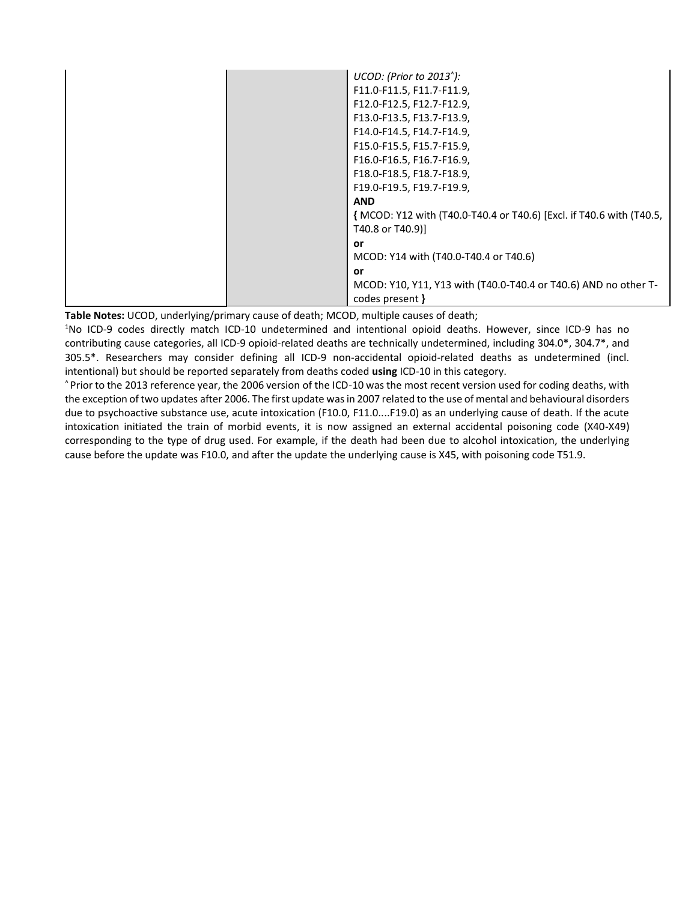| $UCOD:$ (Prior to 2013 $^{\prime}$ ):                                |
|----------------------------------------------------------------------|
| F11.0-F11.5, F11.7-F11.9,                                            |
| F12.0-F12.5, F12.7-F12.9,                                            |
| F13.0-F13.5, F13.7-F13.9,                                            |
| F14.0-F14.5, F14.7-F14.9,                                            |
| F15.0-F15.5, F15.7-F15.9,                                            |
| F16.0-F16.5, F16.7-F16.9,                                            |
| F18.0-F18.5, F18.7-F18.9,                                            |
| F19.0-F19.5, F19.7-F19.9,                                            |
| <b>AND</b>                                                           |
| { MCOD: Y12 with (T40.0-T40.4 or T40.6) [Excl. if T40.6 with (T40.5, |
| T40.8 or T40.9)]                                                     |
| <b>or</b>                                                            |
| MCOD: Y14 with (T40.0-T40.4 or T40.6)                                |
| <b>or</b>                                                            |
| MCOD: Y10, Y11, Y13 with (T40.0-T40.4 or T40.6) AND no other T-      |
| codes present }                                                      |

**Table Notes:** UCOD, underlying/primary cause of death; MCOD, multiple causes of death;

<sup>1</sup>No ICD-9 codes directly match ICD-10 undetermined and intentional opioid deaths. However, since ICD-9 has no contributing cause categories, all ICD-9 opioid-related deaths are technically undetermined, including 304.0\*, 304.7\*, and 305.5\*. Researchers may consider defining all ICD-9 non-accidental opioid-related deaths as undetermined (incl. intentional) but should be reported separately from deaths coded **using** ICD-10 in this category.

^ Prior to the 2013 reference year, the 2006 version of the ICD-10 was the most recent version used for coding deaths, with the exception of two updates after 2006. The first update was in 2007 related to the use of mental and behavioural disorders due to psychoactive substance use, acute intoxication (F10.0, F11.0....F19.0) as an underlying cause of death. If the acute intoxication initiated the train of morbid events, it is now assigned an external accidental poisoning code (X40-X49) corresponding to the type of drug used. For example, if the death had been due to alcohol intoxication, the underlying cause before the update was F10.0, and after the update the underlying cause is X45, with poisoning code T51.9.